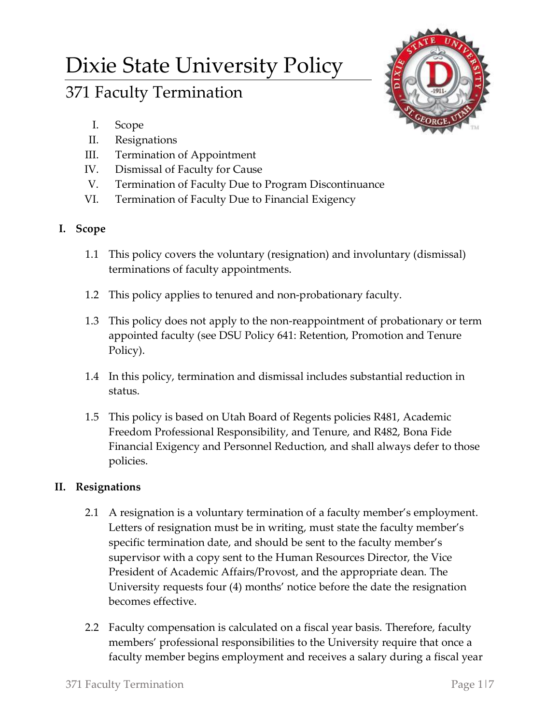# Dixie State University Policy

# 371 Faculty Termination

- I. Scope
- II. Resignations
- III. Termination of Appointment
- IV. Dismissal of Faculty for Cause
- V. Termination of Faculty Due to Program Discontinuance
- VI. Termination of Faculty Due to Financial Exigency

# **I. Scope**

- 1.1 This policy covers the voluntary (resignation) and involuntary (dismissal) terminations of faculty appointments.
- 1.2 This policy applies to tenured and non-probationary faculty.
- 1.3 This policy does not apply to the non-reappointment of probationary or term appointed faculty (see DSU Policy 641: Retention, Promotion and Tenure Policy).
- 1.4 In this policy, termination and dismissal includes substantial reduction in status.
- 1.5 This policy is based on Utah Board of Regents policies R481, Academic Freedom Professional Responsibility, and Tenure, and R482, Bona Fide Financial Exigency and Personnel Reduction, and shall always defer to those policies.

## **II. Resignations**

- 2.1 A resignation is a voluntary termination of a faculty member's employment. Letters of resignation must be in writing, must state the faculty member's specific termination date, and should be sent to the faculty member's supervisor with a copy sent to the Human Resources Director, the Vice President of Academic Affairs/Provost, and the appropriate dean. The University requests four (4) months' notice before the date the resignation becomes effective.
- 2.2 Faculty compensation is calculated on a fiscal year basis. Therefore, faculty members' professional responsibilities to the University require that once a faculty member begins employment and receives a salary during a fiscal year

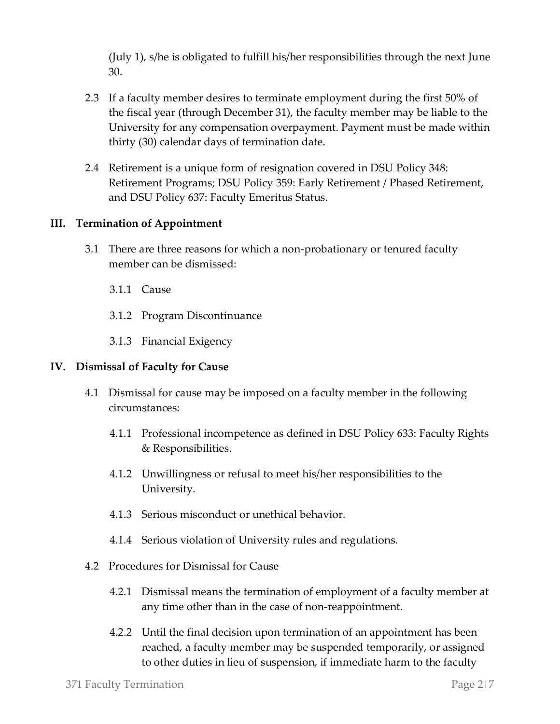(July 1), s/he is obligated to fulfill his/her responsibilities through the next June 30.

- 2.3 If a faculty member desires to terminate employment during the first 50% of the fiscal year (through December 31), the faculty member may be liable to the University for any compensation overpayment. Payment must be made within thirty (30) calendar days of termination date.
- 2.4 Retirement is a unique form of resignation covered in DSU Policy 348: Retirement Programs; DSU Policy 359: Early Retirement / Phased Retirement, and DSU Policy 637: Faculty Emeritus Status.

#### **III. Termination of Appointment**

- 3.1 There are three reasons for which a non-probationary or tenured faculty member can be dismissed:
	- 3.1.1 Cause
	- 3.1.2 Program Discontinuance
	- 3.1.3 Financial Exigency

#### **IV. Dismissal of Faculty for Cause**

- 4.1 Dismissal for cause may be imposed on a faculty member in the following circumstances:
	- 4.1.1 Professional incompetence as defined in DSU Policy 633: Faculty Rights & Responsibilities.
	- 4.1.2 Unwillingness or refusal to meet his/her responsibilities to the University.
	- 4.1.3 Serious misconduct or unethical behavior.
	- 4.1.4 Serious violation of University rules and regulations.
- 4.2 Procedures for Dismissal for Cause
	- 4.2.1 Dismissal means the termination of employment of a faculty member at any time other than in the case of non-reappointment.
	- 4.2.2 Until the final decision upon termination of an appointment has been reached, a faculty member may be suspended temporarily, or assigned to other duties in lieu of suspension, if immediate harm to the faculty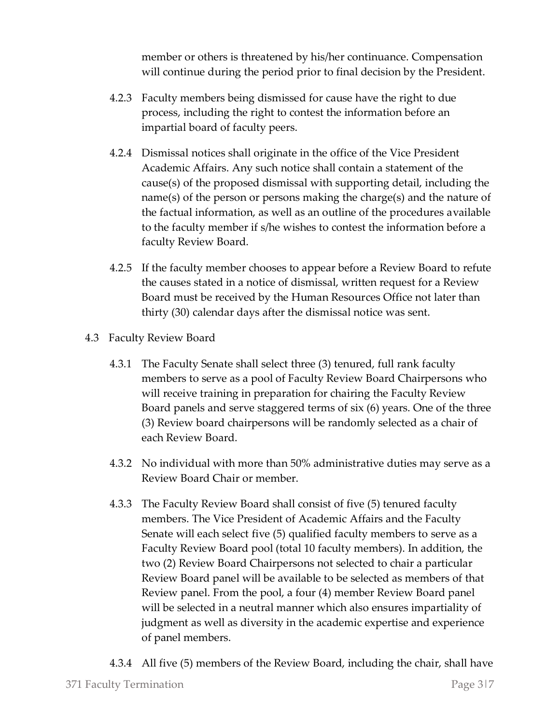member or others is threatened by his/her continuance. Compensation will continue during the period prior to final decision by the President.

- 4.2.3 Faculty members being dismissed for cause have the right to due process, including the right to contest the information before an impartial board of faculty peers.
- 4.2.4 Dismissal notices shall originate in the office of the Vice President Academic Affairs. Any such notice shall contain a statement of the cause(s) of the proposed dismissal with supporting detail, including the name(s) of the person or persons making the charge(s) and the nature of the factual information, as well as an outline of the procedures available to the faculty member if s/he wishes to contest the information before a faculty Review Board.
- 4.2.5 If the faculty member chooses to appear before a Review Board to refute the causes stated in a notice of dismissal, written request for a Review Board must be received by the Human Resources Office not later than thirty (30) calendar days after the dismissal notice was sent.
- 4.3 Faculty Review Board
	- 4.3.1 The Faculty Senate shall select three (3) tenured, full rank faculty members to serve as a pool of Faculty Review Board Chairpersons who will receive training in preparation for chairing the Faculty Review Board panels and serve staggered terms of six (6) years. One of the three (3) Review board chairpersons will be randomly selected as a chair of each Review Board.
	- 4.3.2 No individual with more than 50% administrative duties may serve as a Review Board Chair or member.
	- 4.3.3 The Faculty Review Board shall consist of five (5) tenured faculty members. The Vice President of Academic Affairs and the Faculty Senate will each select five (5) qualified faculty members to serve as a Faculty Review Board pool (total 10 faculty members). In addition, the two (2) Review Board Chairpersons not selected to chair a particular Review Board panel will be available to be selected as members of that Review panel. From the pool, a four (4) member Review Board panel will be selected in a neutral manner which also ensures impartiality of judgment as well as diversity in the academic expertise and experience of panel members.
	- 4.3.4 All five (5) members of the Review Board, including the chair, shall have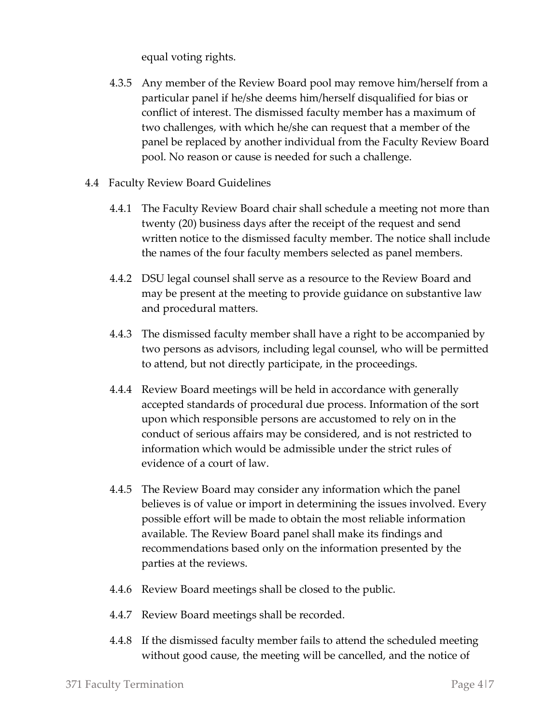equal voting rights.

- 4.3.5 Any member of the Review Board pool may remove him/herself from a particular panel if he/she deems him/herself disqualified for bias or conflict of interest. The dismissed faculty member has a maximum of two challenges, with which he/she can request that a member of the panel be replaced by another individual from the Faculty Review Board pool. No reason or cause is needed for such a challenge.
- 4.4 Faculty Review Board Guidelines
	- 4.4.1 The Faculty Review Board chair shall schedule a meeting not more than twenty (20) business days after the receipt of the request and send written notice to the dismissed faculty member. The notice shall include the names of the four faculty members selected as panel members.
	- 4.4.2 DSU legal counsel shall serve as a resource to the Review Board and may be present at the meeting to provide guidance on substantive law and procedural matters.
	- 4.4.3 The dismissed faculty member shall have a right to be accompanied by two persons as advisors, including legal counsel, who will be permitted to attend, but not directly participate, in the proceedings.
	- 4.4.4 Review Board meetings will be held in accordance with generally accepted standards of procedural due process. Information of the sort upon which responsible persons are accustomed to rely on in the conduct of serious affairs may be considered, and is not restricted to information which would be admissible under the strict rules of evidence of a court of law.
	- 4.4.5 The Review Board may consider any information which the panel believes is of value or import in determining the issues involved. Every possible effort will be made to obtain the most reliable information available. The Review Board panel shall make its findings and recommendations based only on the information presented by the parties at the reviews.
	- 4.4.6 Review Board meetings shall be closed to the public.
	- 4.4.7 Review Board meetings shall be recorded.
	- 4.4.8 If the dismissed faculty member fails to attend the scheduled meeting without good cause, the meeting will be cancelled, and the notice of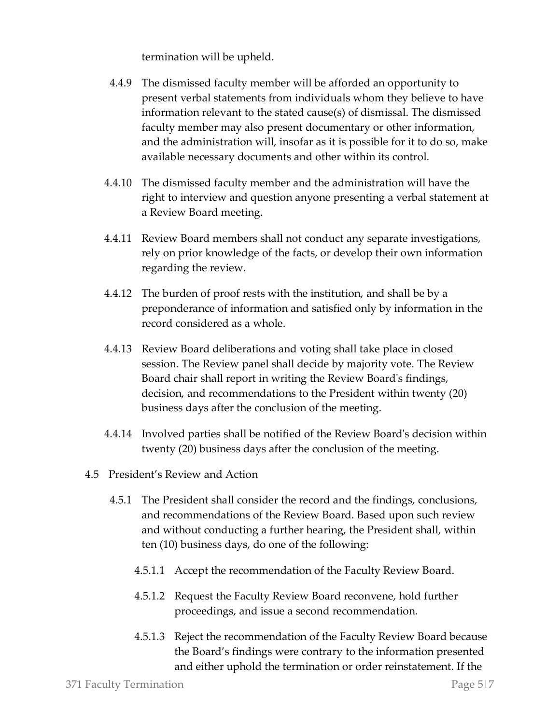termination will be upheld.

- 4.4.9 The dismissed faculty member will be afforded an opportunity to present verbal statements from individuals whom they believe to have information relevant to the stated cause(s) of dismissal. The dismissed faculty member may also present documentary or other information, and the administration will, insofar as it is possible for it to do so, make available necessary documents and other within its control.
- 4.4.10 The dismissed faculty member and the administration will have the right to interview and question anyone presenting a verbal statement at a Review Board meeting.
- 4.4.11 Review Board members shall not conduct any separate investigations, rely on prior knowledge of the facts, or develop their own information regarding the review.
- 4.4.12 The burden of proof rests with the institution, and shall be by a preponderance of information and satisfied only by information in the record considered as a whole.
- 4.4.13 Review Board deliberations and voting shall take place in closed session. The Review panel shall decide by majority vote. The Review Board chair shall report in writing the Review Board's findings, decision, and recommendations to the President within twenty (20) business days after the conclusion of the meeting.
- 4.4.14 Involved parties shall be notified of the Review Board's decision within twenty (20) business days after the conclusion of the meeting.
- 4.5 President's Review and Action
	- 4.5.1 The President shall consider the record and the findings, conclusions, and recommendations of the Review Board. Based upon such review and without conducting a further hearing, the President shall, within ten (10) business days, do one of the following:
		- 4.5.1.1 Accept the recommendation of the Faculty Review Board.
		- 4.5.1.2 Request the Faculty Review Board reconvene, hold further proceedings, and issue a second recommendation.
		- 4.5.1.3 Reject the recommendation of the Faculty Review Board because the Board's findings were contrary to the information presented and either uphold the termination or order reinstatement. If the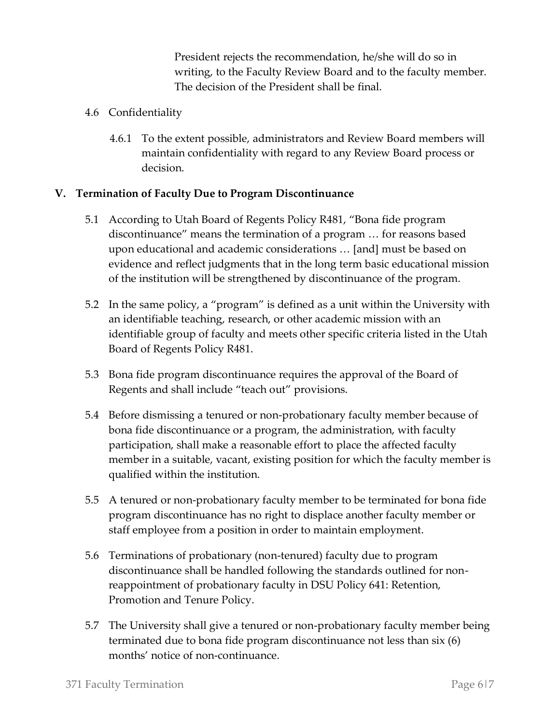President rejects the recommendation, he/she will do so in writing, to the Faculty Review Board and to the faculty member. The decision of the President shall be final.

- 4.6 Confidentiality
	- 4.6.1 To the extent possible, administrators and Review Board members will maintain confidentiality with regard to any Review Board process or decision.

### **V. Termination of Faculty Due to Program Discontinuance**

- 5.1 According to Utah Board of Regents Policy R481, "Bona fide program discontinuance" means the termination of a program … for reasons based upon educational and academic considerations … [and] must be based on evidence and reflect judgments that in the long term basic educational mission of the institution will be strengthened by discontinuance of the program.
- 5.2 In the same policy, a "program" is defined as a unit within the University with an identifiable teaching, research, or other academic mission with an identifiable group of faculty and meets other specific criteria listed in the Utah Board of Regents Policy R481.
- 5.3 Bona fide program discontinuance requires the approval of the Board of Regents and shall include "teach out" provisions.
- 5.4 Before dismissing a tenured or non-probationary faculty member because of bona fide discontinuance or a program, the administration, with faculty participation, shall make a reasonable effort to place the affected faculty member in a suitable, vacant, existing position for which the faculty member is qualified within the institution.
- 5.5 A tenured or non-probationary faculty member to be terminated for bona fide program discontinuance has no right to displace another faculty member or staff employee from a position in order to maintain employment.
- 5.6 Terminations of probationary (non-tenured) faculty due to program discontinuance shall be handled following the standards outlined for nonreappointment of probationary faculty in DSU Policy 641: Retention, Promotion and Tenure Policy.
- 5.7 The University shall give a tenured or non-probationary faculty member being terminated due to bona fide program discontinuance not less than six (6) months' notice of non-continuance.